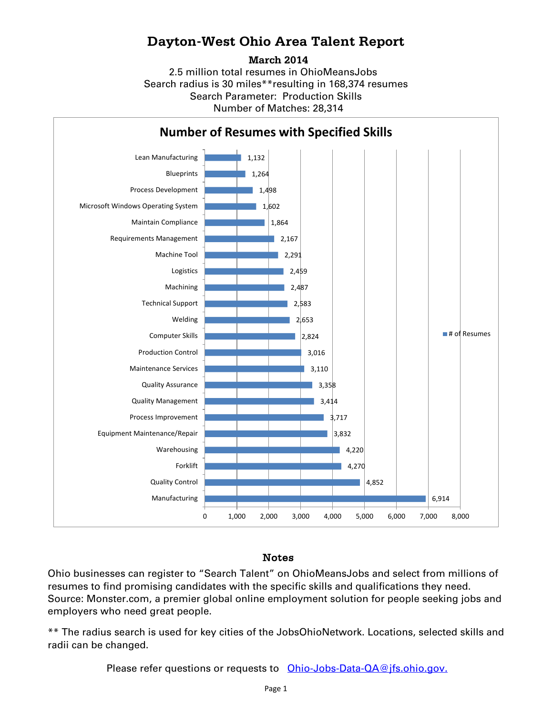# **Dayton-West Ohio Area Talent Report**

**March 2014**

2.5 million total resumes in OhioMeansJobs Search radius is 30 miles\*\*resulting in 168,374 resumes Number of Matches: 28,314 Search Parameter: Production Skills



### Notes

Ohio businesses can register to "Search Talent" on OhioMeansJobs and select from millions of resumes to find promising candidates with the specific skills and qualifications they need. Source: Monster.com, a premier global online employment solution for people seeking jobs and employers who need great people.

\*\* The radius search is used for key cities of the JobsOhioNetwork. Locations, selected skills and radii can be changed.

Please refer questions or requests to [Ohio-Jobs-Data-QA@jfs.ohio.gov.](mailto:Ohio-Jobs-Data-QA@jfs.ohio.gov.)